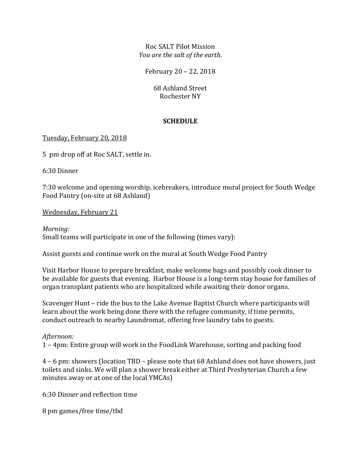Roc SALT Pilot Mission *You are the salt of the earth.*

February 20 – 22, 2018

68 Ashland Street Rochester NY

## **SCHEDULE**

## Tuesday, February 20, 2018

5 pm drop off at Roc SALT, settle in.

6:30 Dinner

7:30 welcome and opening worship, icebreakers, introduce mural project for South Wedge Food Pantry (on-site at 68 Ashland)

Wednesday, February 21

*Morning:* Small teams will participate in one of the following (times vary):

Assist guests and continue work on the mural at South Wedge Food Pantry

Visit Harbor House to prepare breakfast, make welcome bags and possibly cook dinner to be available for guests that evening. Harbor House is a long-term stay house for families of organ transplant patients who are hospitalized while awaiting their donor organs.

Scavenger Hunt – ride the bus to the Lake Avenue Baptist Church where participants will learn about the work being done there with the refugee community, if time permits, conduct outreach to nearby Laundromat, offering free laundry tabs to guests.

## *Afternoon:*

1 – 4pm: Entire group will work in the FoodLink Warehouse, sorting and packing food

4 – 6 pm: showers (location TBD – please note that 68 Ashland does not have showers, just toilets and sinks. We will plan a shower break either at Third Presbyterian Church a few minutes away or at one of the local YMCAs)

6:30 Dinner and reflection time

8 pm games/free time/tbd